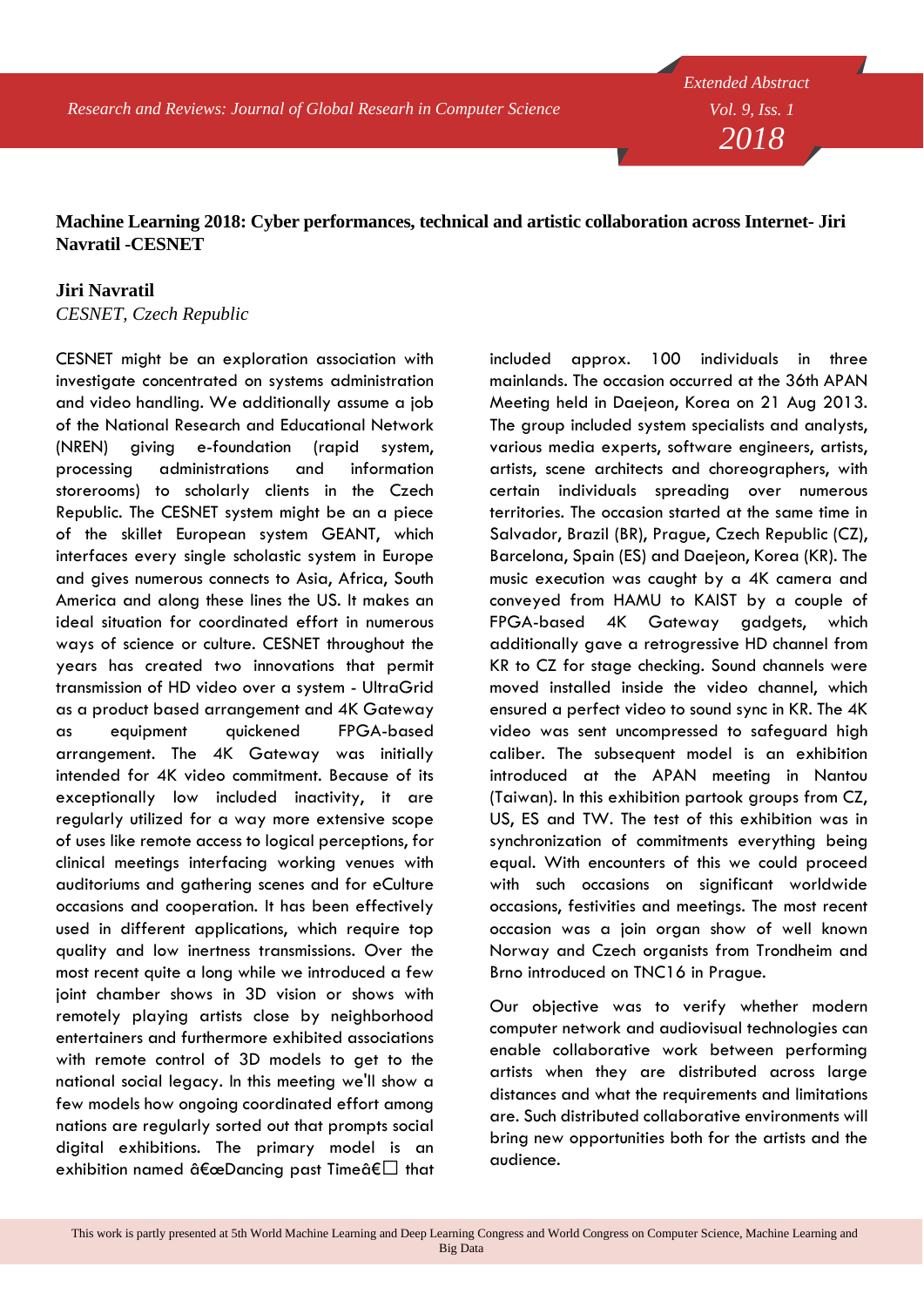*Research and Reviews: Journal of Global Researh in Computer Science*

*Extended Abstract Vol. 9, Iss. 1 2018*

## **Machine Learning 2018: Cyber performances, technical and artistic collaboration across Internet- Jiri Navratil -CESNET**

## **Jiri Navratil**

*CESNET, Czech Republic*

CESNET might be an exploration association with investigate concentrated on systems administration and video handling. We additionally assume a job of the National Research and Educational Network (NREN) giving e-foundation (rapid system, processing administrations and information storerooms) to scholarly clients in the Czech Republic. The CESNET system might be an a piece of the skillet European system GEANT, which interfaces every single scholastic system in Europe and gives numerous connects to Asia, Africa, South America and along these lines the US. It makes an ideal situation for coordinated effort in numerous ways of science or culture. CESNET throughout the years has created two innovations that permit transmission of HD video over a system - UltraGrid as a product based arrangement and 4K Gateway as equipment quickened FPGA-based arrangement. The 4K Gateway was initially intended for 4K video commitment. Because of its exceptionally low included inactivity, it are regularly utilized for a way more extensive scope of uses like remote access to logical perceptions, for clinical meetings interfacing working venues with auditoriums and gathering scenes and for eCulture occasions and cooperation. It has been effectively used in different applications, which require top quality and low inertness transmissions. Over the most recent quite a long while we introduced a few joint chamber shows in 3D vision or shows with remotely playing artists close by neighborhood entertainers and furthermore exhibited associations with remote control of 3D models to get to the national social legacy. In this meeting we'll show a few models how ongoing coordinated effort among nations are regularly sorted out that prompts social digital exhibitions. The primary model is an exhibition named "Dancing past Time― that

included approx. 100 individuals in three mainlands. The occasion occurred at the 36th APAN Meeting held in Daejeon, Korea on 21 Aug 2013. The group included system specialists and analysts, various media experts, software engineers, artists, artists, scene architects and choreographers, with certain individuals spreading over numerous territories. The occasion started at the same time in Salvador, Brazil (BR), Prague, Czech Republic (CZ), Barcelona, Spain (ES) and Daejeon, Korea (KR). The music execution was caught by a 4K camera and conveyed from HAMU to KAIST by a couple of FPGA-based 4K Gateway gadgets, which additionally gave a retrogressive HD channel from KR to CZ for stage checking. Sound channels were moved installed inside the video channel, which ensured a perfect video to sound sync in KR. The 4K video was sent uncompressed to safeguard high caliber. The subsequent model is an exhibition introduced at the APAN meeting in Nantou (Taiwan). In this exhibition partook groups from CZ, US, ES and TW. The test of this exhibition was in synchronization of commitments everything being equal. With encounters of this we could proceed with such occasions on significant worldwide occasions, festivities and meetings. The most recent occasion was a join organ show of well known Norway and Czech organists from Trondheim and Brno introduced on TNC16 in Prague.

Our objective was to verify whether modern computer network and audiovisual technologies can enable collaborative work between performing artists when they are distributed across large distances and what the requirements and limitations are. Such distributed collaborative environments will bring new opportunities both for the artists and the audience.